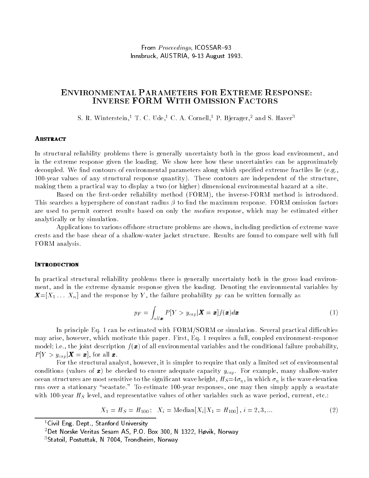# ENVIRONMENTAL PARAMETERS FOR EXTREME RESPONSE: INVERSE FORM WITH OMISSION FACTORS

S. R. Winterstein,<sup>1</sup> T. C. Ude,<sup>1</sup> C. A. Cornell,<sup>1</sup> P. Bjerager,<sup>2</sup> and S. Haver<sup>3</sup>

## **ABSTRACT**

In structural reliability problems there is generally uncertainty both in the gross load environment, and in the extreme response given the loading. We show here how these uncertainties can be approximately decoupled. We find contours of environmental parameters along which specified extreme fractiles lie (e.g., 100-year values of any structural response quantity). These contours are independent of the structure, making them a practical way to displayatwo (or higher) dimensional environmental hazard at a site.

Based on the first-order reliability method (FORM), the inverse-FORM method is introduced. This searches a hypersphere of constant radius  $\beta$  to find the maximum response. FORM omission factors are used to permit correct results based on only the *median* response, which may be estimated either analytically or by simulation.

Applications to various offshore structure problems are shown, including prediction of extreme wave crests and the base shear of a shallow-water jacket structure. Results are found to compare well with full FORM analysis.

In practical structural reliability problems there is generally uncertainty both in the gross load environment, and in the extreme dynamic response given the loading. Denoting the environmental variables by  $\mathbf{X}=[X_1 \ldots X_n]$  and the response by Y, the failure probability  $p_F$  can be written formally as

$$
p_F = \int_{all \boldsymbol{x}} P[Y > y_{cap} | \boldsymbol{X} = \boldsymbol{x}] f(\boldsymbol{x}) d\boldsymbol{x}
$$
 (1)

In principle Eq. 1 can be estimated with  $FORM/SORM$  or simulation. Several practical difficulties may arise, however, which motivate this paper. First, Eq. 1 requires a full, coupled environment-response model; i.e., the joint description  $f(x)$  of all environmental variables and the conditional failure probability,  $P[Y > y_{cap} | \boldsymbol{X} = \boldsymbol{x}]$ , for all  $\boldsymbol{x}$ .

For the structural analyst, however, it is simpler to require that only a limited set of environmental conditions (values of  $\bm{x}$ ) be checked to ensure adequate capacity  $y_{cap}$ . For example, many shallow-water ocean structures are most sensitive to the significant wave height,  $H_S=4\sigma_\eta$ , in which  $\sigma_\eta$  is the wave elevation rms over a stationary "seastate." To estimate 100-year responses, one may then simply apply a seastate with 100-year  $H<sub>S</sub>$  level, and representative values of other variables such as wave period, current, etc.:

$$
X_1 = H_S = H_{100}; \quad X_i = \text{Median}[X_i | X_1 = H_{100}], \quad i = 2, 3, \dots
$$
\n<sup>(2)</sup>

<sup>&</sup>lt;sup>1</sup> Civil Eng. Dept., Stanford University

 $2$ Det Norske Veritas Sesam AS, P.O. Box 300, N 1322, Høvik, Norway

<sup>3</sup>Statoil, Postuttak, N 7004, Trondheim, Norway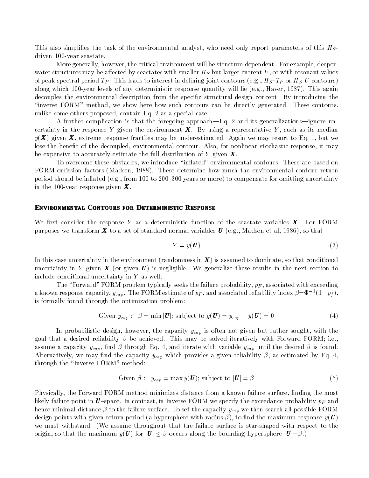This also simplifies the task of the environmental analyst, who need only report parameters of this  $H_S$ driven 100-year seastate.

More generally, however, the critical environment will be structure-dependent. For example, deeperwater structures may be affected by seastates with smaller  $H<sub>S</sub>$  but larger current U, or with resonant values of peak spectral period  $T_P$ . This leads to interest in defining joint contours (e.g.,  $H_S-T_P$  or  $H_S$ -U contours) along which 100-year levels of any deterministic response quantity will lie (e.g., Haver, 1987). This again decouples the environmental description from the specific structural design concept. By introducing the "inverse FORM" method, we show here how such contours can be directly generated. These contours, unlike some others proposed, contain Eq. 2 as a special case.

A further complication is that the foregoing approach—Eq. 2 and its generalizations—ignore uncertainty in the response Y given the environment  $\boldsymbol{X}$ . By using a representative Y, such as its median  $y(\bm{X})$  given  $\bm{X}$ , extreme response fractiles may be underestimated. Again we may resort to Eq. 1, but we lose the benefit of the decoupled, environmental contour. Also, for nonlinear stochastic response, it may be expensive to accurately estimate the full distribution of Y given  $\boldsymbol{X}$ .

To overcome these obstacles, we introduce "inflated" environmental contours. These are based on FORM omission factors (Madsen, 1988). These determine how much the environmental contour return period should be inflated (e.g., from 100 to 200-300 years or more) to compensate for omitting uncertainty in the 100-year response given  $X$ .

#### Environmental Contours for Deterministic Response

We first consider the response Y as a deterministic function of the seastate variables  $X$ . For FORM purposes we transform  $\bm{X}$  to a set of standard normal variables  $\bm{U}$  (e.g., Madsen et al, 1986), so that

$$
Y = y(\mathbf{U}) \tag{3}
$$

In this case uncertainty in the environment (randomness in  $X$ ) is assumed to dominate, so that conditional uncertainty in Y given  $\boldsymbol{X}$  (or given  $\boldsymbol{U}$ ) is negligible. We generalize these results in the next section to include conditional uncertainty in Y as well.

The "Forward" FORM problem typically seeks the failure probability,  $p_F$ , associated with exceeding a known response capacity,  $y_{can}$ . The FORM estimate of  $p_F$ , and associated renability index  $\rho = \Psi^{-1}(1-p_f),$ is formally found through the optimization problem:

Given 
$$
y_{cap}
$$
:  $\beta = \min |U|$ ; subject to  $g(U) = y_{cap} - y(U) = 0$  (4)

In probabilistic design, however, the capacity  $y_{cap}$  is often not given but rather sought, with the goal that a desired reliability  $\beta$  be achieved. This may be solved iteratively with Forward FORM; i.e., assume a capacity  $y_{cap}$ , find  $\beta$  through Eq. 4, and iterate with variable  $y_{cap}$  until the desired  $\beta$  is found. Alternatively, we may find the capacity  $y_{cap}$  which provides a given reliability  $\beta$ , as estimated by Eq. 4. through the \Inverse FORM" method:

Given 
$$
\beta
$$
:  $y_{cap} = \max y(\boldsymbol{U})$ ; subject to  $|\boldsymbol{U}| = \beta$  (5)

Physically, the Forward FORM method minimizes distance from a known failure surface, finding the most likely failure point in  $U$ -space. In contrast, in Inverse FORM we specify the exceedance probability  $p_F$  and hence minimal distance  $\beta$  to the failure surface. To set the capacity  $y_{cap}$  we then search all possible FORM design points with given return period (a hypersphere with radius  $\beta$ ), to find the maximum response  $y(\boldsymbol{U})$ we must withstand. (We assume throughout that the failure surface is star-shaped with respect to the origin, so that the maximum  $y(U)$  for  $|U| \leq \beta$  occurs along the bounding hypersphere  $|U| = \beta$ .)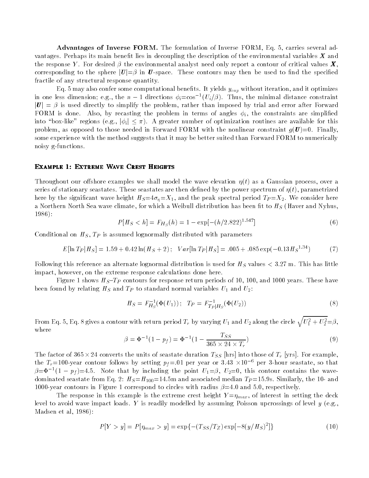Advantages of Inverse FORM. The formulation of Inverse FORM, Eq. 5, carries several advantages. Perhaps its main benefit lies in decoupling the description of the environmental variables  $X$  and the response Y. For desired  $\beta$  the environmental analyst need only report a contour of critical values  $\bm{X}$ , corresponding to the sphere  $|\mathbf{U}| = \beta$  in U-space. These contours may then be used to find the specified fractile of any structural response quantity.

Eq. 5 may also confer some computational benefits. It yields  $y_{cap}$  without iteration, and it optimizes in one less dimension; e.g., the  $n=1$  directions  $\varphi_i\texttt{=cos}^{-1}(U_i/\beta)$ . Thus, the minimal distance constraint  $|\bm{U}| = \beta$  is used directly to simplify the problem, rather than imposed by trial and error after Forward FORM is done. Also, by recasting the problem in terms of angles  $\phi_i$ , the constraints are simplified into "box-like" regions (e.g.,  $|\phi_i| \leq \pi$ ). A greater number of optimization routines are available for this problem, as opposed to those needed in Forward FORM with the nonlinear constraint  $q(\boldsymbol{U})=0$ . Finally, some experience with the method suggests that it may be better suited than Forward FORM to numerically noisy g-functions.

#### Example 1: Extreme Wave Crest Heights

Throughout our offshore examples we shall model the wave elevation  $\eta(t)$  as a Gaussian process, over a series of stationary seastates. These seastates are then defined by the power spectrum of  $\eta(t)$ , parametrized here by the significant wave height  $H_S=4\sigma_p = X_1$ , and the peak spectral period  $T_P=X_2$ . We consider here a Northern North Sea wave climate, for which a Weibull distribution has been fit to  $H<sub>S</sub>$  (Haver and Nyhus, 1986):

$$
P[H_S < h] = F_{H_S}(h) = 1 - \exp[-(h/2.822)^{1.547}] \tag{6}
$$

Conditional on  $H_S$ ,  $T_P$  is assumed lognormally distributed with parameters

$$
E[\ln T_P|H_S] = 1.59 + 0.42\ln(H_S + 2); \quad Var[\ln T_P|H_S] = .005 + .085\exp(-0.13H_S^{1.34})\tag{7}
$$

Following this reference an alternate lognormal distribution is used for  $H<sub>S</sub>$  values  $<$  3.27 m. This has little impact, however, on the extreme response calculations done here.

Figure 1 shows  $H_S-T_P$  contours for response return periods of 10, 100, and 1000 years. These have been found by relating  $H<sub>S</sub>$  and  $T<sub>P</sub>$  to standard normal variables  $U<sub>1</sub>$  and  $U<sub>2</sub>$ :

$$
H_S = F_{H_S}^{-1}(\Phi(U_1)); \quad T_P = F_{T_P|H_S}^{-1}(\Phi(U_2))
$$
\n(8)

From Eq. 5, Eq. 8 gives a contour with return period  $T_r$  by varying  $U_1$  and  $U_2$  along the circle  $\sqrt{U_1^2+U_2^2}=\beta,$ where

$$
\beta = \Phi^{-1}(1 - p_f) = \Phi^{-1}(1 - \frac{T_{SS}}{365 \times 24 \times T_r})
$$
\n(9)

The factor of 365  $\times$  24 converts the units of seastate duration  $T_{SS}$  [hrs] into those of  $T_r$  [yrs]. For example, the Tr=100-year contour follows by setting  $p_f = 01$  per year or 3.43  $\times 10^{-6}$  per 3-hour seastate, so that  $\rho$ = $\Psi$  =(1 –  $p_f$ )=4.5. Note that by including the point  $U_1$ = $\rho,$   $U_2$ =0, this contour contains the wavedominated seastate from Eq. 2:  $H_S = H_{100} = 14.5$ m and associated median  $T_P = 15.9$ s. Similarly, the 10- and 1000-year contours in Figure 1 correspond to circles with radius  $\beta$ =4.0 and 5.0, respectively.

The response in this example is the extreme crest height  $Y = \eta_{max}$ , of interest in setting the deck level to avoid wave impact loads. Y is readily modelled by assuming Poisson upcrossings of level  $y$  (e.g., Madsen et al, 1986):

$$
P[Y > y] = P[\eta_{max} > y] = \exp\{- (T_{SS}/T_Z) \exp[-8(y/H_S)^2] \} \tag{10}
$$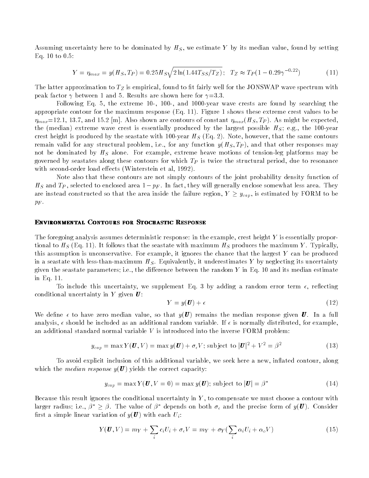Assuming uncertainty here to be dominated by  $H<sub>S</sub>$ , we estimate Y by its median value, found by setting Eq. 10 to 0.5:

$$
Y = \eta_{max} = y(H_S, T_P) = 0.25H_S\sqrt{2\ln(1.44T_{SS}/T_Z)}; \quad T_Z \approx T_P(1 - 0.29\gamma^{-0.22})
$$
 (11)

The latter approximation to  $T_Z$  is empirical, found to fit fairly well for the JONSWAP wave spectrum with peak factor  $\gamma$  between 1 and 5. Results are shown here for  $\gamma=3.3$ .

Following Eq. 5, the extreme 10-, 100-, and 1000-year wave crests are found by searching the appropriate contour for the maximum response (Eq. 11). Figure 1 shows these extreme crest values to be  $\eta_{max}=12.1, 13.7,$  and 15.2 [m]. Also shown are contours of constant  $\eta_{max}(H_S, T_P)$ . As might be expected, the (median) extreme wave crest is essentially produced by the largest possible  $H<sub>S</sub>$ ; e.g., the 100-year crest height is produced by the seastate with 100-year  $H<sub>S</sub>$  (Eq. 2). Note, however, that the same contours remain valid for any structural problem, i.e., for any function  $y(H_S, T_P)$ , and that other responses may not be dominated by  $H<sub>S</sub>$  alone. For example, extreme heave motions of tension-leg platforms may be governed by seastates along these contours for which  $T<sub>P</sub>$  is twice the structural period, due to resonance with second-order load effects (Winterstein et al, 1992).

Note also that these contours are not simply contours of the joint probability density function of  $H_S$  and  $T_P$ , selected to enclosed area  $1 - p_F$ . In fact, they will generally enclose somewhat less area. They are instead constructed so that the area inside the failure region,  $Y \geq y_{cap}$ , is estimated by FORM to be  $p_F$ .

#### ENVIRONMENTAL CONTOURS FOR STOCHASTIC RESPONSE

The foregoing analysis assumes deterministic response: in the example, crest height Y is essentially proportional to  $H_S$  (Eq. 11). It follows that the seastate with maximum  $H_S$  produces the maximum Y. Typically, this assumption is unconservative. For example, it ignores the chance that the largest Y can be produced in a seastate with less-than-maximum  $H<sub>S</sub>$ . Equivalently, it underestimates Y by neglecting its uncertainty given the seastate parameters; i.e., the difference between the random  $Y$  in Eq. 10 and its median estimate in Eq. 11.

To include this uncertainty, we supplement Eq. 3 by adding a random error term  $\epsilon$ , reflecting conditional uncertainty in  $Y$  given  $U$ :

$$
Y = y(\boldsymbol{U}) + \epsilon \tag{12}
$$

We define  $\epsilon$  to have zero median value, so that  $y(\bm{U})$  remains the median response given  $\bm{U}$ . In a full analysis,  $\epsilon$  should be included as an additional random variable. If  $\epsilon$  is normally distributed, for example, an additional standard normal variable  $V$  is introduced into the inverse FORM problem:

$$
y_{cap} = \max Y(\mathbf{U}, V) = \max y(\mathbf{U}) + \sigma_{\epsilon} V; \text{ subject to } |\mathbf{U}|^2 + V^2 = \beta^2 \tag{13}
$$

To avoid explicit inclusion of this additional variable, we seek here a new, in
ated contour, along which the *median response*  $y(U)$  yields the correct capacity:

$$
y_{cap} = \max Y(\mathbf{U}, V = 0) = \max y(\mathbf{U}); \text{ subject to } |\mathbf{U}| = \beta^* \tag{14}
$$

Because this result ignores the conditional uncertainty in  $Y$ , to compensate we must choose a contour with larger radius; i.e.,  $\beta^* \geq \beta$ . The value of  $\beta^*$  depends on both  $\sigma_{\epsilon}$  and the precise form of  $y(\bm{U})$ . Consider first a simple linear variation of  $y(\boldsymbol{U})$  with each  $U_i$ :

$$
Y(\boldsymbol{U}, V) = m_Y + \sum_i c_i U_i + \sigma_{\epsilon} V = m_Y + \sigma_Y (\sum_i \alpha_i U_i + \alpha_o V) \tag{15}
$$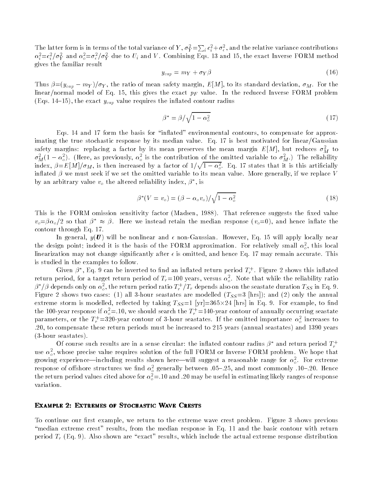The latter form is in terms of the total variance of Y,  $\sigma_Y^2 = \sum_i c_i^2 + \sigma_\epsilon^2$ , and the relative variance contributions  $\alpha_i^2 = c_i^2/\sigma_Y^2$  and  $\alpha_o^2 = \sigma_\epsilon^2/\sigma_Y^2$  due to  $U_i$  and V. Combining Eqs. 13 and 15, the exact Inverse FORM method gives the familiar result

$$
y_{cap} = m_Y + \sigma_Y \beta \tag{16}
$$

Thus  $\beta = (y_{cap} - m_Y)/\sigma_Y$ , the ratio of mean safety margin,  $E[M]$ , to its standard deviation,  $\sigma_M$ . For the linear/normal model of Eq. 15, this gives the exact  $p_F$  value. In the reduced Inverse FORM problem (Eqs. 14–15), the exact  $y_{cap}$  value requires the inflated contour radius

$$
\beta^* = \beta / \sqrt{1 - \alpha_o^2} \tag{17}
$$

Eqs. 14 and 17 form the basis for "inflated" environmental contours, to compensate for approximating the true stochastic response by its median value. Eq. 17 is best motivated for linear/Gaussian safety margins: replacing a factor by its mean preserves the mean margin  $E\left[ M\right] ,$  but reduces  $\sigma_{M}^{-}$  to  $\sigma_{\bar{M}}$ (1 –  $\alpha_{o}^{-}$ ). (Here, as previously,  $\alpha_{o}^{-}$  is the contribution of the omitted variable to  $\sigma_{\bar{M}}^{-}$ .) The reliability index,  $\beta$ = $E[M]/\sigma_M,$  is then increased by a factor of  $1/\sqrt{1-\alpha_o^2}.$  Eq. 17 states that it is this artificially inflated  $\beta$  we must seek if we set the omitted variable to its mean value. More generally, if we replace V by an arbitrary value  $v_o$  the altered rehability index,  $\rho$  , is

$$
\beta^*(V = v_o) = (\beta - \alpha_o v_o) / \sqrt{1 - \alpha_o^2}
$$
\n(18)

This is the FORM omission sensitivity factor (Madsen, 1988). That reference suggests the fixed value  $v_o = \beta \alpha_o/2$  so that  $\beta^* \approx \beta$ . Here we instead retain the median response  $(v_o = 0)$ , and hence inflate the contour through Eq. 17.

In general,  $y(\boldsymbol{U})$  will be nonlinear and  $\epsilon$  non-Gaussian. However, Eq. 15 will apply locally near the design point; indeed it is the basis of the FORM approximation. For relatively small  $\alpha_o^2$ , this local linearization may not change significantly after  $\epsilon$  is omitted, and hence Eq. 17 may remain accurate. This is studied in the examples to follow.

Given  $\rho$ , eq. 9 can be inverted to find an innated return period  $T_r$ . Figure 2 shows this innated return period, for a target return period of  $T_r=100$  years, versus  $\alpha_{o}^{-}$ . Note that while the reliability ratio  $\rho$  7p depends only on  $a_o^-,$  the return period ratio  $T_r$  /  $T_r$  depends also on the seastate duration  $T_{SS}$  in Eq. 9. Figure 2 shows two cases: (1) all 3-hour seastates are modelled  $(T_{SS}=3$  [hrs]); and (2) only the annual extreme storm is modelled, reflected by taking  $T_{SS}=1$  [yr]=365 $\times$ 24 [hrs] in Eq. 9. For example, to find the 100-year response if  $\alpha_o^2 = 10$ , we should search the  $T_r = 140$ -year contour of annually occurring seastate parameters, or the  $T_r = 320$ -year contour of 3-hour seastates. If the omitted importance  $\alpha_{\phi}^-$  increases to .20, to compensate these return periods must be increased to 215 years (annual seastates) and 1390 years (3-hour seastates).

Of course such results are in a sense circular: the inflated contour radius  $\beta^*$  and return period  $T_r^+$ use  $\alpha_o$ , whose precise value requires solution of the full FORM or Inverse FORM problem. We hope that growing experience—including results shown here—will suggest a reasonable range for  $\alpha_o^-.$  For extreme response of onshore structures we find  $\alpha_o^*$  generally between .05–.25, and most commonly .10–.20. Hence the return period values cited above for  $\alpha_{\overline{o}} = 0.10$  and .20 may be useful in estimating likely ranges of response variation.

### EXAMPLE 2: EXTREMES OF STOCHASTIC WAVE CRESTS

To continue our first example, we return to the extreme wave crest problem. Figure 3 shows previous "median extreme crest" results, from the median response in Eq. 11 and the basic contour with return period  $T_r$  (Eq. 9). Also shown are "exact" results, which include the actual extreme response distribution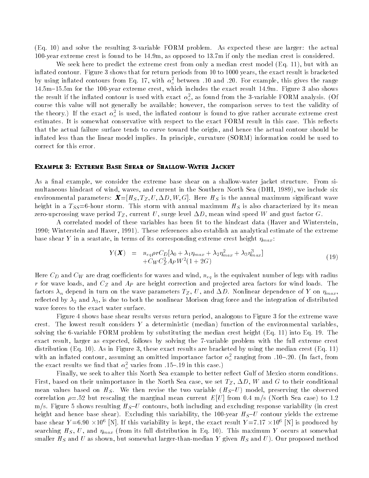(Eq. 10) and solve the resulting 3-variable FORM problem. As expected these are larger: the actual 100-year extreme crest is found to be 14.9m, as opposed to 13.7m if only the median crest is considered.

We seek here to predict the extreme crest from only a median crest model (Eq. 11), but with an in
ated contour. Figure 3 shows that for return periods from 10 to 1000 years, the exact result is bracketed by using innated contours from Eq. 17, with  $\alpha_o^+$  between .10 and .20. For example, this gives the range 14.5m{15.5m for the 100-year extreme crest, which includes the exact result 14.9m. Figure 3 also shows the result if the inhated contour is used with exact  $\alpha_o^*$ , as found from the 3-variable FORM analysis. (Of course this value will not generally be available; however, the comparison serves to test the validity of the theory.) If the exact  $\alpha_{o}^{-}$  is used, the inhated contour is found to give rather accurate extreme crest estimates. It is somewhat conservative with respect to the exact FORM result in this case. This reflects that the actual failure surface tends to curve toward the origin, and hence the actual contour should be in
ated less than the linear model implies. In principle, curvature (SORM) information could be used to correct for this error.

#### Example 3: Extreme Base Shear of Shallow-Water Jacket

As a final example, we consider the extreme base shear on a shallow-water jacket structure. From simultaneous hindcast of wind, waves, and current in the Southern North Sea (DHI, 1989), we include six environmental parameters:  $\mathbf{X} = [H_S, T_Z, U, \Delta D, W, G]$ . Here  $H_S$  is the annual maximum significant wave height in a  $T_{SS}=6$ -hour storm. This storm with annual maximum  $H_S$  is also characterized by its mean zero-upcrossing wave period  $T_Z$ , current U, surge level  $\Delta D$ , mean wind speed W and gust factor G.

A correlated model of these variables has been fit to the hindcast data (Haver and Winterstein, 1990; Winterstein and Haver, 1991). These references also establish an analytical estimate of the extreme base shear Y in a seastate, in terms of its corresponding extreme crest height  $\eta_{max}$ :

$$
Y(\boldsymbol{X}) = n_{eq} \rho r C_D[\lambda_0 + \lambda_1 \eta_{max} + \lambda_2 \eta_{max}^2 + \lambda_3 \eta_{max}^3]
$$
  
+ $C_W C_Z^2 A_P W^2 (1 + 2G)$  (19)

Here  $C_D$  and  $C_W$  are drag coefficients for waves and wind,  $n_{eq}$  is the equivalent number of legs with radius r for wave loads, and  $C_Z$  and  $A_P$  are height correction and projected area factors for wind loads. The factors  $\lambda_n$  depend in turn on the wave parameters  $T_Z$ , U, and  $\Delta D$ . Nonlinear dependence of Y on  $\eta_{max}$ , reflected by  $\lambda_2$  and  $\lambda_3$ , is due to both the nonlinear Morison drag force and the integration of distributed wave forces to the exact water surface.

Figure 4 shows base shear results versus return period, analogous to Figure 3 for the extreme wave crest. The lowest result considers Y a deterministic (median) function of the environmental variables, solving the 6-variable FORM problem by substituting the median crest height (Eq. 11) into Eq. 19. The exact result, larger as expected, follows by solving the 7-variable problem with the full extreme crest distribution (Eq. 10). As in Figure 3, these exact results are bracketed by using the median crest (Eq. 11) with an inhated contour, assuming an omitted importance factor  $\alpha_o^-$  ranging from .10–.20. (In fact, from the exact results we find that  $\alpha_{\sigma}^{2}$  varies from .15–.19 in this case.)

Finally, we seek to alter this North Sea example to better reflect Gulf of Mexico storm conditions. First, based on their unimportance in the North Sea case, we set  $T_Z$ ,  $\Delta D$ , W and G to their conditional mean values based on  $H_S$ . We then revise the two variable  $(H_S-U)$  model, preserving the observed correlation  $\rho = .52$  but rescaling the marginal mean current  $E[U]$  from 0.4 m/s (North Sea case) to 1.2 m/s. Figure 5 shows resulting  $H_S$ -U contours, both including and excluding response variability (in crest height and hence base shear). Excluding this variability, the 100-year  $H_S-U$  contour yields the extreme base shear  $Y = 6.90 \times 10^6$  [N]. If this variability is kept, the exact result  $Y = 7.17 \times 10^6$  [N] is produced by searching  $H_S, U$ , and  $\eta_{max}$  (from its full distribution in Eq. 10). This maximum Y occurs at somewhat smaller  $H_S$  and  $U$  as shown, but somewhat larger-than-median  $Y$  given  $H_S$  and  $U$ ). Our proposed method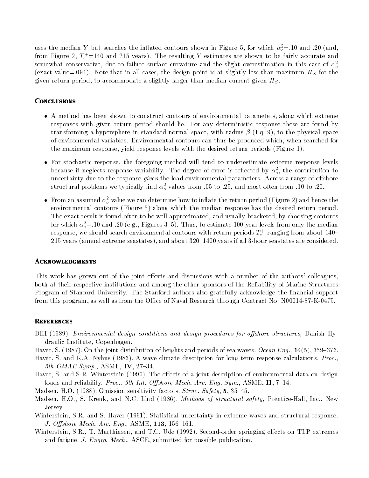uses the median Y but searches the inhated contours shown in Figure 5, for which  $\alpha_{o} = 0.10$  and .20 (and, from Figure 2,  $T_r = 140$  and 215 years). The resulting Y estimates are shown to be fairly accurate and somewhat conservative, due to failure surface curvature and the slight overestimation in this case of  $\alpha_o^2$ (exact value=.094). Note that in all cases, the design point is at slightly less-than-maximum  $H<sub>S</sub>$  for the given return period, to accommodate a slightly larger-than-median current given  $H_S$ .

# **CONCLUSIONS**

- $\bullet$  A method has been shown to construct contours of environmental parameters, along which extreme responses with given return period should lie. For any deterministic response these are found by transforming a hypersphere in standard normal space, with radius  $\beta$  (Eq. 9), to the physical space of environmental variables. Environmental contours can thus be produced which, when searched for the maximum response, yield response levels with the desired return periods (Figure 1).
- $\bullet$  for stochastic response, the foregoing method will tend to underestimate extreme response levels  $\hspace{0.1mm}$ because it neglects response variability. The degree of error is reflected by  $\alpha_o^-,$  the contribution to uncertainty due to the response given the load environmental parameters. Across a range of offshore structural problems we typically find  $\alpha_{\sigma}^-$  values from .05 to .25, and most often from .10 to .20.
- $\bullet$  -from an assumed  $\alpha_{o}^{-}$  value we can determine how to inflate the return period (Figure 2) and hence the environmental contours (Figure 5) along which the median response has the desired return period. The exact result is found often to be well-approximated, and usually bracketed, by choosing contours for which  $\alpha_{\rho}^{\pm}$  to and .20 (e.g., Figures 5–5). Thus, to estimate 100-year levels from only the median response, we should search environmental contours with return periods  $T_r^+$  ranging from about 140+  $\,$ 215 years (annual extreme seastates), and about  $320{-}1400$  years if all 3-hour seastates are considered.

### **ACKNOWLEDGMENTS**

This work has grown out of the joint efforts and discussions with a number of the authors' colleagues, both at their respective institutions and among the other sponsors of the Reliability of Marine Structures Program of Stanford University. The Stanford authors also gratefully acknowledge the financial support from this program, as well as from the Office of Naval Research through Contract No. N00014-87-K-0475.

# **REFERENCES**

- DHI (1989). Environmental design conditions and design procedures for offshore structures, Danish Hydraulic Institute, Copenhagen.
- Haver, S. (1987). On the joint distribution of heights and periods of sea waves. Ocean Eng., 14(5), 359–376.
- Haver, S. and K.A. Nyhus (1986). A wave climate description for long term response calculations. Proc., 5th OMAE Symp., ASME, IV,  $27-34$ .
- Haver, S. and S.R. Winterstein (1990). The effects of a joint description of environmental data on design loads and reliability. Proc., 9th Int. Offshore Mech. Arc. Eng. Sym., ASME, II, 7-14.
- Madsen, H.O. (1988). Omission sensitivity factors. Struc. Safety, 5, 35-45.
- Madsen, H.O., S. Krenk, and N.C. Lind (1986). Methods of structural safety, Prentice-Hall, Inc., New Jersey.
- Winterstein, S.R. and S. Haver (1991). Statistical uncertainty in extreme waves and structural response. J. Offshore Mech. Arc. Eng.,  $ASME$ ,  $113$ ,  $156-161$ .
- Winterstein, S.R., T. Marthinsen, and T.C. Ude (1992). Second-order springing effects on TLP extremes and fatigue. *J. Engrg. Mech.*, ASCE, submitted for possible publication.